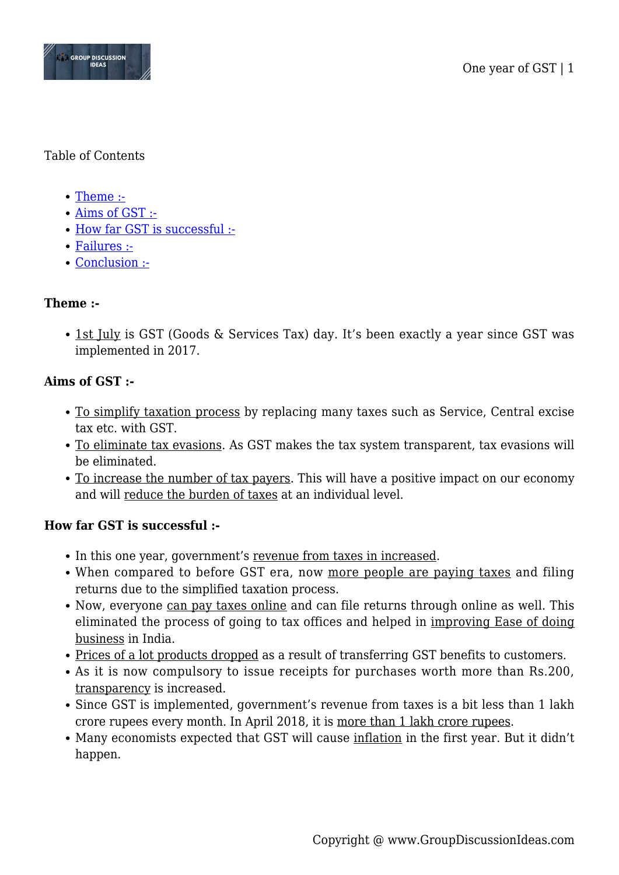

#### Table of Contents

- [Theme :-](#page--1-0)
- [Aims of GST :-](#page--1-0)
- [How far GST is successful :-](#page--1-0)
- [Failures :-](#page--1-0)
- [Conclusion :-](#page--1-0)

## **Theme :-**

• 1st July is GST (Goods & Services Tax) day. It's been exactly a year since GST was implemented in 2017.

## **Aims of GST :-**

- To simplify taxation process by replacing many taxes such as Service, Central excise tax etc. with GST.
- To eliminate tax evasions. As GST makes the tax system transparent, tax evasions will be eliminated.
- To increase the number of tax payers. This will have a positive impact on our economy and will reduce the burden of taxes at an individual level.

## **How far GST is successful :-**

- In this one year, government's revenue from taxes in increased.
- When compared to before GST era, now more people are paying taxes and filing returns due to the simplified taxation process.
- Now, everyone can pay taxes online and can file returns through online as well. This eliminated the process of going to tax offices and helped in improving Ease of doing business in India.
- Prices of a lot products dropped as a result of transferring GST benefits to customers.
- As it is now compulsory to issue receipts for purchases worth more than Rs.200, transparency is increased.
- Since GST is implemented, government's revenue from taxes is a bit less than 1 lakh crore rupees every month. In April 2018, it is more than 1 lakh crore rupees.
- Many economists expected that GST will cause inflation in the first year. But it didn't happen.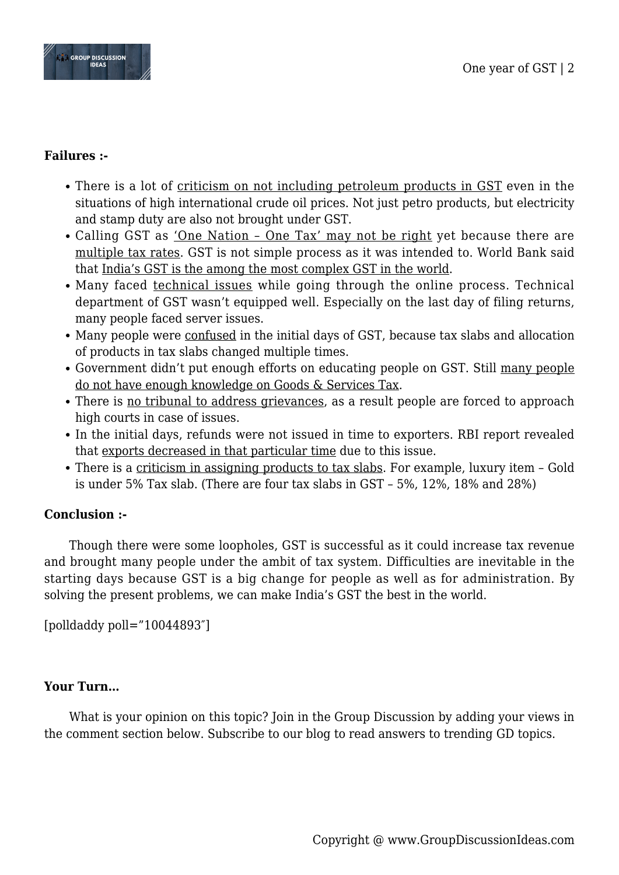

#### **Failures :-**

- There is a lot of <u>criticism on not including petroleum products in GST</u> even in the situations of high international crude oil prices. Not just petro products, but electricity and stamp duty are also not brought under GST.
- Calling GST as 'One Nation One Tax' may not be right yet because there are multiple tax rates. GST is not simple process as it was intended to. World Bank said that India's GST is the among the most complex GST in the world.
- Many faced technical issues while going through the online process. Technical department of GST wasn't equipped well. Especially on the last day of filing returns, many people faced server issues.
- Many people were confused in the initial days of GST, because tax slabs and allocation of products in tax slabs changed multiple times.
- Government didn't put enough efforts on educating people on GST. Still many people do not have enough knowledge on Goods & Services Tax.
- There is no tribunal to address grievances, as a result people are forced to approach high courts in case of issues.
- In the initial days, refunds were not issued in time to exporters. RBI report revealed that exports decreased in that particular time due to this issue.
- There is a criticism in assigning products to tax slabs. For example, luxury item Gold is under 5% Tax slab. (There are four tax slabs in GST – 5%, 12%, 18% and 28%)

## **Conclusion :-**

Though there were some loopholes, GST is successful as it could increase tax revenue and brought many people under the ambit of tax system. Difficulties are inevitable in the starting days because GST is a big change for people as well as for administration. By solving the present problems, we can make India's GST the best in the world.

[polldaddy poll="10044893″]

# **Your Turn…**

What is your opinion on this topic? Join in the Group Discussion by adding your views in the comment section below. Subscribe to our blog to read answers to trending GD topics.